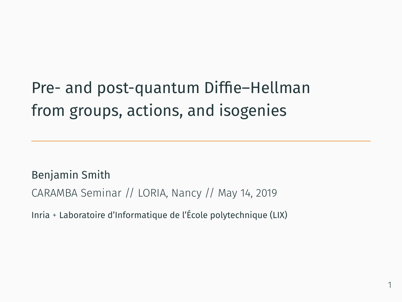Pre- and post-quantum Diffie–Hellman from groups, actions, and isogenies

Benjamin Smith CARAMBA Seminar // LORIA, Nancy // May 14, 2019

Inria + Laboratoire d'Informatique de l'École polytechnique (LIX)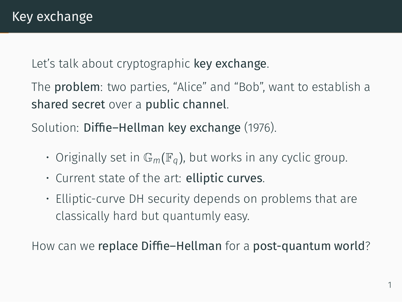Let's talk about cryptographic key exchange.

The problem: two parties, "Alice" and "Bob", want to establish a shared secret over a public channel.

Solution: Diffie–Hellman key exchange (1976).

- $\cdot$  Originally set in  $\mathbb{G}_m(\mathbb{F}_q)$ , but works in any cyclic group.
- Current state of the art: elliptic curves.
- Elliptic-curve DH security depends on problems that are classically hard but quantumly easy.

How can we replace Diffie–Hellman for a post-quantum world?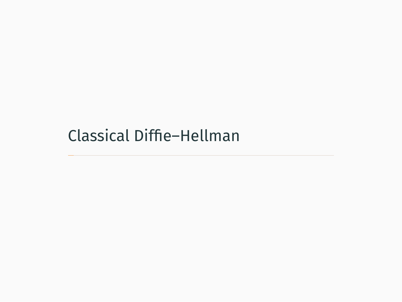Classical Diffie–Hellman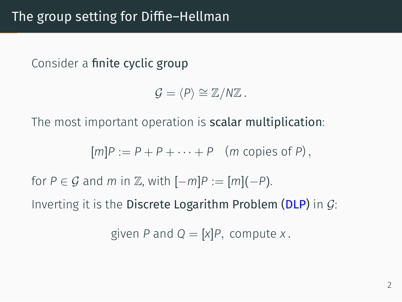Consider a finite cyclic group

 $G = \langle P \rangle \cong \mathbb{Z}/N\mathbb{Z}$ .

The most important operation is scalar multiplication:

 $[m]P := P + P + \cdots + P$  (*m* copies of *P*).

for *P* ∈ *G* and *m* in  $\mathbb{Z}$ , with  $[-m]P := [m](-P)$ .

Inverting it is the Discrete Logarithm Problem (DLP) in *G*:

given *P* and  $Q = [x]P$ , compute *x*.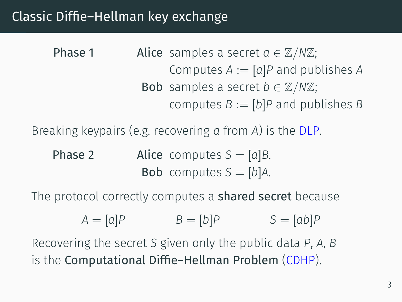#### Classic Diffie–Hellman key exchange

**Phase 1** Alice samples a secret  $a \in \mathbb{Z}/N\mathbb{Z}$ ; Computes  $A := [a]P$  and publishes  $A$ Bob samples a secret  $b \in \mathbb{Z}/N\mathbb{Z}$ ; computes  $B := [b]P$  and publishes *B* 

Breaking keypairs (e.g. recovering *a* from *A*) is the DLP.

**Phase 2 Alice** computes  $S = [a]B$ . Bob computes  $S = [b]A$ .

The protocol correctly computes a shared secret because

$$
A = [a]P \qquad \qquad B = [b]P \qquad \qquad S = [ab]P
$$

Recovering the secret *S* given only the public data *P*, *A*, *B* is the Computational Diffie–Hellman Problem (CDHP).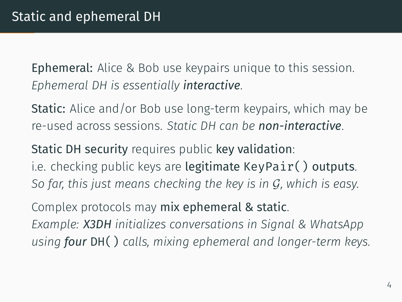Ephemeral: Alice & Bob use keypairs unique to this session. *Ephemeral DH is essentially interactive*.

Static: Alice and/or Bob use long-term keypairs, which may be re-used across sessions. *Static DH can be non-interactive*.

Static DH security requires public key validation: i.e. checking public keys are legitimate KeyPair() outputs. *So far, this just means checking the key is in G, which is easy.*

Complex protocols may mix ephemeral & static. *Example: X3DH initializes conversations in Signal & WhatsApp using four* DH() *calls, mixing ephemeral and longer-term keys.*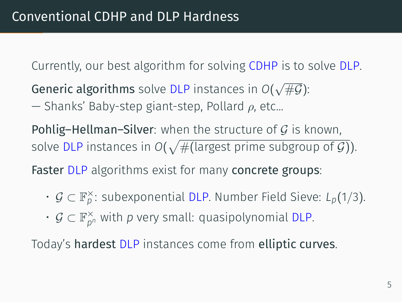Currently, our best algorithm for solving CDHP is to solve DLP.

Generic algorithms solve DLP instances in *O*( *√* #*G*):

— Shanks' Baby-step giant-step, Pollard *ρ*, etc...

Pohlig–Hellman–Silver: when the structure of *G* is known, solve DLP instances in  $O(\sqrt{\#(\text{largest prime subgroup of } \mathcal{G})}).$ 

Faster DLP algorithms exist for many concrete groups:

- *G ⊂* F *× <sup>p</sup>* : subexponential DLP. Number Field Sieve: *Lp*(1*/*3).
- *G ⊂* F *× <sup>p</sup><sup>n</sup>* with *p* very small: quasipolynomial DLP.

Today's hardest DLP instances come from elliptic curves.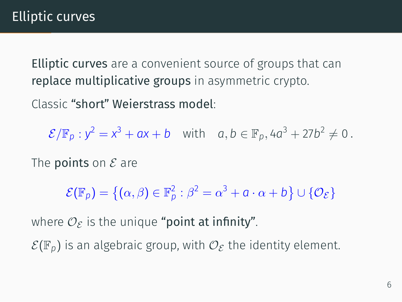Elliptic curves are a convenient source of groups that can replace multiplicative groups in asymmetric crypto.

Classic "short" Weierstrass model:

 $\mathcal{E}/\mathbb{F}_p : y^2 = x^3 + ax + b$  with  $a, b \in \mathbb{F}_p, 4a^3 + 27b^2 \neq 0$ .

The points on *E* are

 $\mathcal{E}(\mathbb{F}_p) = \{ (\alpha, \beta) \in \mathbb{F}_p^2 : \beta^2 = \alpha^3 + a \cdot \alpha + b \} \cup \{ \mathcal{O}_{\mathcal{E}} \}$ 

where  $\mathcal{O}_{\mathcal{E}}$  is the unique "point at infinity".

 $\mathcal{E}(\mathbb{F}_p)$  is an algebraic group, with  $\mathcal{O}_{\mathcal{E}}$  the identity element.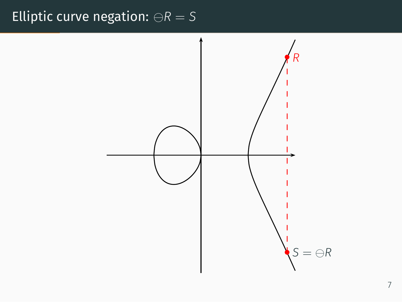## Elliptic curve negation: *⊖R* = *S*

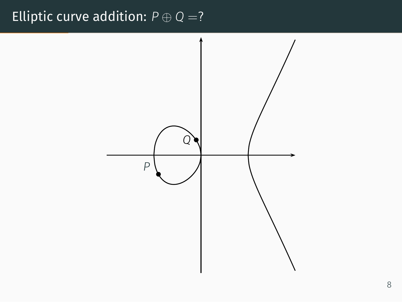## Elliptic curve addition:  $P \oplus Q = ?$

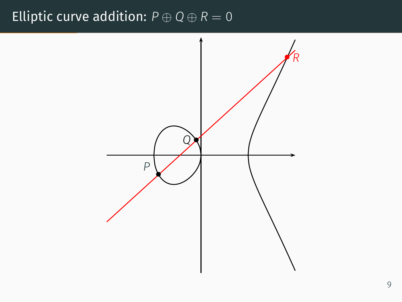## Elliptic curve addition:  $P \oplus Q \oplus R = 0$

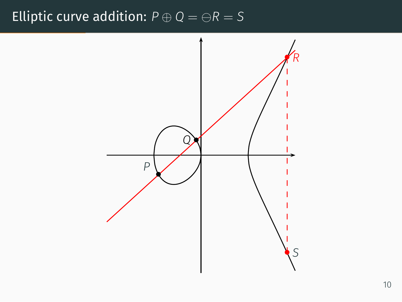#### Elliptic curve addition:  $P \oplus Q = \ominus R = S$

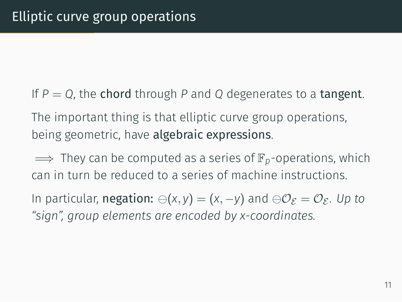If  $P = Q$ , the chord through P and Q degenerates to a tangent. The important thing is that elliptic curve group operations, being geometric, have algebraic expressions.

=*⇒* They can be computed as a series of F*p*-operations, which can in turn be reduced to a series of machine instructions.

In particular, negation: *⊖*(*x, y*) = (*x, −y*) and *⊖O<sup>E</sup>* = *O<sup>E</sup>* . *Up to "sign", group elements are encoded by x-coordinates.*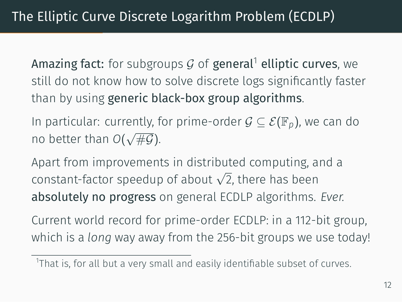Amazing fact: for subgroups  $G$  of general<sup>1</sup> elliptic curves, we still do not know how to solve discrete logs significantly faster than by using generic black-box group algorithms.

In particular: currently, for prime-order *G ⊆ E*(F*p*), we can do no better than *O*( *√* #*G*).

Apart from improvements in distributed computing, and a constant-factor speedup of about *<sup>√</sup>* 2, there has been absolutely no progress on general ECDLP algorithms. *Ever.*

Current world record for prime-order ECDLP: in a 112-bit group, which is a *long* way away from the 256-bit groups we use today!

<sup>&</sup>lt;sup>1</sup>That is, for all but a very small and easily identifiable subset of curves.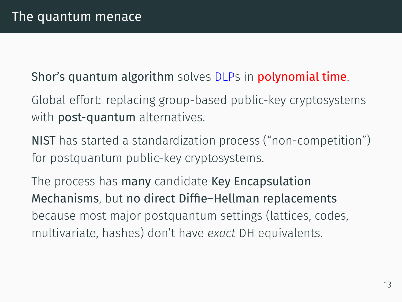Shor's quantum algorithm solves DLPs in polynomial time.

- Global effort: replacing group-based public-key cryptosystems with **post-quantum** alternatives.
- NIST has started a standardization process ("non-competition") for postquantum public-key cryptosystems.

The process has many candidate Key Encapsulation Mechanisms, but no direct Diffie–Hellman replacements because most major postquantum settings (lattices, codes, multivariate, hashes) don't have *exact* DH equivalents.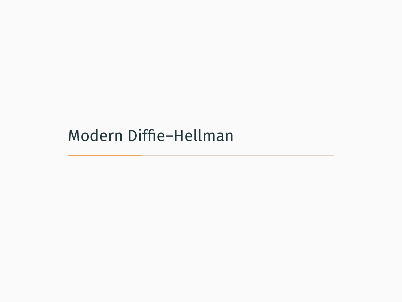Modern Diffie–Hellman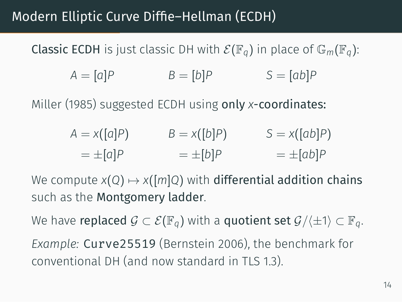## Modern Elliptic Curve Diffie–Hellman (ECDH)

**Classic ECDH** is just classic DH with  $\mathcal{E}(\mathbb{F}_q)$  in place of  $\mathbb{G}_m(\mathbb{F}_q)$ :

$$
A = [a]P \qquad B = [b]P \qquad S = [ab]P
$$

Miller (1985) suggested ECDH using only *x*-coordinates:

$$
A = x([a]P) \qquad B = x([b]P) \qquad S = x([ab]P)
$$

$$
= \pm [a]P \qquad = \pm [b]P \qquad = \pm [ab]P
$$

We compute  $x(Q) \mapsto x([m]Q)$  with differential addition chains such as the Montgomery ladder.

We have replaced  $G \subset \mathcal{E}(\mathbb{F}_q)$  with a quotient set  $\mathcal{G}/\langle \pm 1 \rangle \subset \mathbb{F}_q$ .

*Example:* Curve25519 (Bernstein 2006), the benchmark for conventional DH (and now standard in TLS 1.3).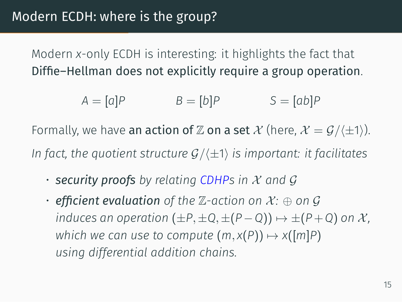Modern *x*-only ECDH is interesting: it highlights the fact that Diffie–Hellman does not explicitly require a group operation.

$$
A = [a]P \qquad \qquad B = [b]P \qquad \qquad S = [ab]P
$$

Formally, we have an action of  $\mathbb Z$  on a set  $\mathcal X$  (here,  $\mathcal X = \mathcal G / \langle \pm 1 \rangle$ ). *In fact, the quotient structure G/⟨±*1*⟩ is important: it facilitates*

- *security proofs by relating CDHPs in X and G*
- $\cdot$  **efficient evaluation** of the  $\mathbb{Z}$ -action on  $\mathcal{X}$ :  $\oplus$  on  $\mathcal{G}$ *induces an operation*  $(\pm P, \pm Q, \pm (P - Q)) \mapsto \pm (P + Q)$  *on X*, *which we can use to compute*  $(m, x(P)) \mapsto x([m]P)$ *using differential addition chains.*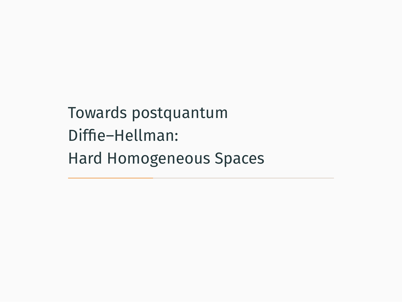Towards postquantum Diffie–Hellman: Hard Homogeneous Spaces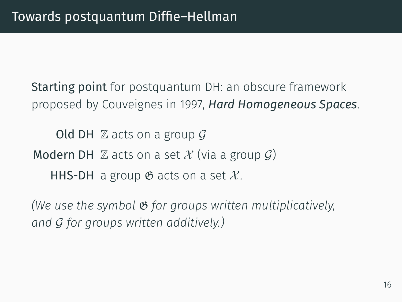Starting point for postquantum DH: an obscure framework proposed by Couveignes in 1997, *Hard Homogeneous Spaces*.

Old DH Z acts on a group *G* Modern DH  $\mathbb Z$  acts on a set  $\mathcal X$  (via a group  $\mathcal G$ ) HHS-DH a group  $\mathfrak G$  acts on a set  $\mathcal X$ .

*(We use the symbol* G *for groups written multiplicatively, and G for groups written additively.)*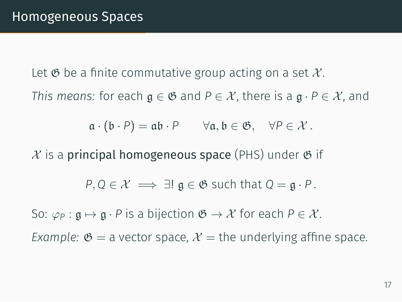Let  $\mathfrak G$  be a finite commutative group acting on a set  $\mathcal X$ . *This means:* for each  $\mathfrak{g} \in \mathfrak{G}$  and  $P \in \mathcal{X}$ , there is a  $\mathfrak{g} \cdot P \in \mathcal{X}$ , and

 $a \cdot (b \cdot P) = ab \cdot P$   $\forall a, b \in \mathfrak{G}, \forall P \in \mathcal{X}$ .

 $X$  is a **principal homogeneous space** (PHS) under  $\mathfrak{G}$  if

$$
P, Q \in \mathcal{X} \implies \exists! \; \mathfrak{g} \in \mathfrak{G} \text{ such that } Q = \mathfrak{g} \cdot P.
$$

So:  $\varphi_P$  :  $\mathfrak{g} \mapsto \mathfrak{g} \cdot P$  is a bijection  $\mathfrak{G} \to \mathcal{X}$  for each  $P \in \mathcal{X}$ .

*Example:*  $\mathfrak{G} =$  a vector space,  $\mathcal{X} =$  the underlying affine space.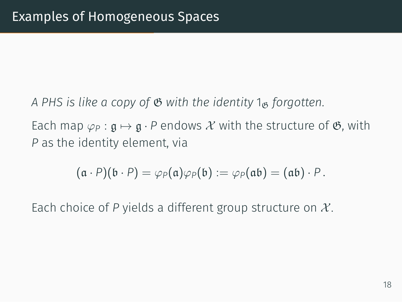A PHS is like a copy of  $\mathfrak G$  with the identity 1<sub>G</sub> forgotten. Each map  $\varphi_P$  :  $\mathfrak{g} \mapsto \mathfrak{g} \cdot P$  endows X with the structure of  $\mathfrak{G}$ , with *P* as the identity element, via

$$
(\mathfrak{a} \cdot P)(\mathfrak{b} \cdot P) = \varphi_P(\mathfrak{a})\varphi_P(\mathfrak{b}) := \varphi_P(\mathfrak{a}\mathfrak{b}) = (\mathfrak{a}\mathfrak{b}) \cdot P.
$$

Each choice of *P* yields a different group structure on *X* .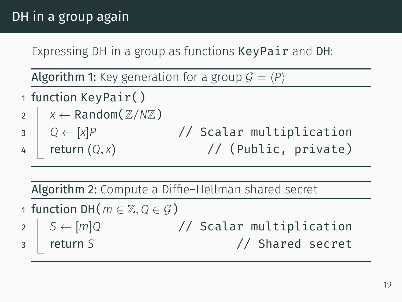## DH in a group again

Expressing DH in a group as functions KeyPair and DH:

Algorithm 1: Key generation for a group  $G = \langle P \rangle$ 

- 1 function KeyPair()
- $\chi$   $\times$   $\times$  Random( $\mathbb{Z}/N\mathbb{Z}$ )
- 3 *Q ←* [*x*]*P* // Scalar multiplication return  $(Q, x)$  // (Public, private)

Algorithm 2: Compute a Diffie–Hellman shared secret

- <sup>1</sup> function DH(*m ∈* Z*,Q ∈ G*)
- 2  $S ← [m]Q$  // Scalar multiplication<br>2 **p** *return S* // Shared secret 3 return *S* // Shared secret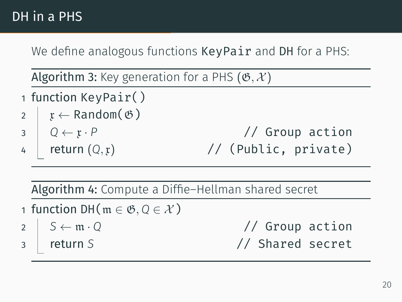## DH in a PHS

We define analogous functions KeyPair and DH for a PHS:

Algorithm 3: Key generation for a PHS  $(\mathfrak{G}, \mathcal{X})$ 

- 1 function KeyPair()
- $2 \mid x \leftarrow$  Random $(\mathfrak{G})$
- 
- 

3 *Q ←* x *· P* // Group action  $\frac{1}{4}$  return  $(Q, x)$  // (Public, private)

Algorithm 4: Compute a Diffie–Hellman shared secret

- 1 function DH(m *∈* G*,Q ∈ X* )
- 
- 

2 *S ←* m *· Q* // Group action 3 return *S* // Shared secret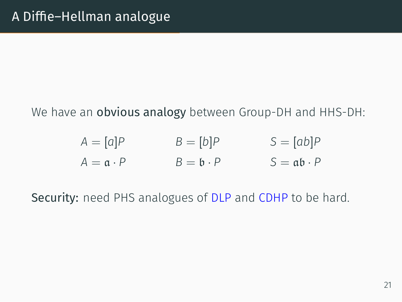#### We have an **obvious analogy** between Group-DH and HHS-DH:

| $A=[a]P$                   | $B=[b]P$                   | $S = [ab]P$                             |
|----------------------------|----------------------------|-----------------------------------------|
| $A = \mathfrak{a} \cdot P$ | $B = \mathfrak{b} \cdot P$ | $S = \mathfrak{a} \mathfrak{b} \cdot P$ |

Security: need PHS analogues of DLP and CDHP to be hard.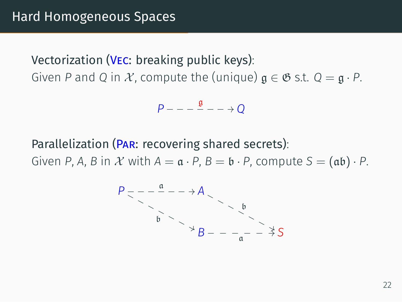Vectorization (Vec: breaking public keys): Given *P* and *Q* in *X*, compute the (unique)  $g \in \mathfrak{G}$  s.t.  $Q = g \cdot P$ .

$$
P---\frac{\mathfrak{g}}{2}---\rightarrow Q
$$

Parallelization (PAR: recovering shared secrets):

Given *P*, *A*, *B* in *X* with  $A = \mathfrak{a} \cdot P$ ,  $B = \mathfrak{b} \cdot P$ , compute  $S = (\mathfrak{a} \mathfrak{b}) \cdot P$ .

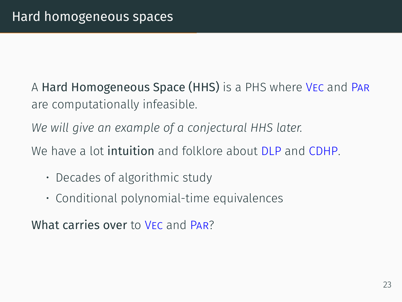A Hard Homogeneous Space (HHS) is a PHS where Vec and Par are computationally infeasible.

*We will give an example of a conjectural HHS later.*

We have a lot **intuition** and folklore about **DLP** and **CDHP**.

- Decades of algorithmic study
- Conditional polynomial-time equivalences

What carries over to VEC and PAR?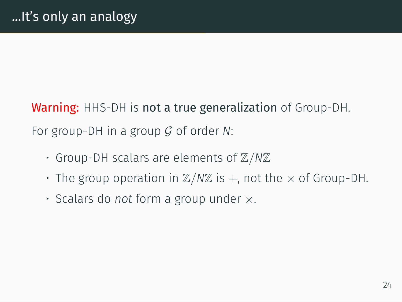Warning: HHS-DH is not a true generalization of Group-DH. For group-DH in a group *G* of order *N*:

- Group-DH scalars are elements of Z*/N*Z
- $\cdot$  The group operation in  $\mathbb{Z}/N\mathbb{Z}$  is  $+$ , not the  $\times$  of Group-DH.
- Scalars do *not* form a group under *×*.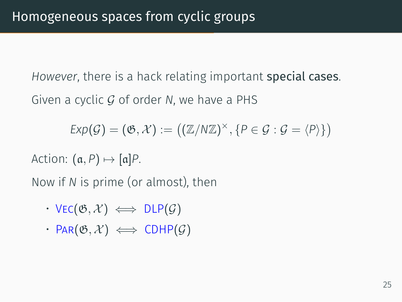*However*, there is a hack relating important special cases. Given a cyclic *G* of order *N*, we have a PHS

$$
Exp(\mathcal{G}) = (\mathfrak{G}, \mathcal{X}) := ((\mathbb{Z}/N\mathbb{Z})^{\times}, \{P \in \mathcal{G} : \mathcal{G} = \langle P \rangle\})
$$

Action:  $(a, P) \mapsto [a]P$ .

Now if *N* is prime (or almost), then

- $\cdot$  VEC( $\mathfrak{G}, \mathcal{X}$ )  $\iff$  DLP( $\mathcal{G}$ )
- $\cdot$  PAR( $\mathfrak{G}, \mathcal{X}$ )  $\iff$  CDHP( $\mathcal{G}$ )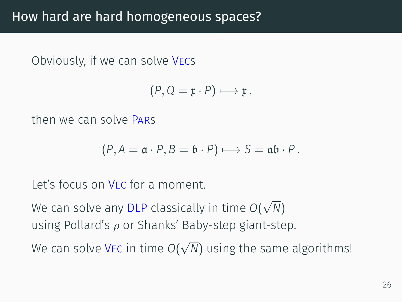Obviously, if we can solve Vecs

$$
(P,Q=\mathfrak{x}\cdot P)\longmapsto \mathfrak{x}\,,
$$

then we can solve Pars

$$
(P, A = \mathfrak{a} \cdot P, B = \mathfrak{b} \cdot P) \longmapsto S = \mathfrak{a} \mathfrak{b} \cdot P.
$$

Let's focus on Vec for a moment.

We can solve any DLP classically in time *O*( *√ N*) using Pollard's *ρ* or Shanks' Baby-step giant-step. *√*

We can solve Vec in time *O*( *N*) using the same algorithms!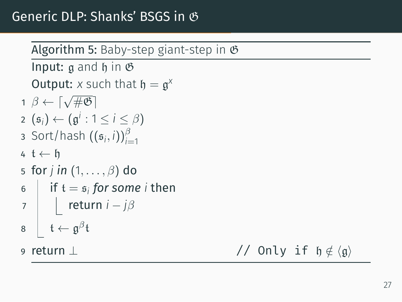# Algorithm 5: Baby-step giant-step in  $\mathfrak G$ Input:  $a$  and  $b$  in  $\mathfrak G$ **Output:** *x* such that  $\mathfrak{h} = \mathfrak{g}^{\chi}$ <sup>1</sup> *<sup>β</sup> ← ⌈√* #G*⌉* 2  $(g<sub>i</sub>)$  ←  $(g<sup>i</sup>$  : 1 ≤ *i* ≤  $\beta$ )  $\int$  Sort/hash  $((\mathfrak{s}_i, i))_{i=1}^{\beta}$ 4 t *←* h 5 for *j in* (1*, . . . , β*) do 6  $\parallel$  if  $t = s_i$  *for some i* then 7 return *i − jβ* 8 | t $\leftarrow$  g<sup> $\beta$ </sup>t 9 return ⊥ // Only if  $η \notin ⟨q⟩$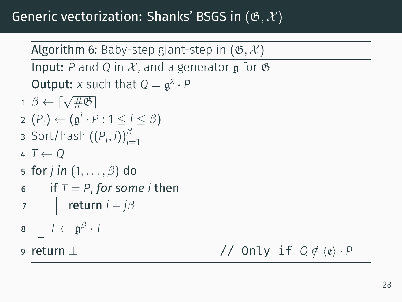## Generic vectorization: Shanks' BSGS in (G*, X* )

Algorithm 6: Baby-step giant-step in  $(\mathfrak{G}, \mathcal{X})$ 

**Input:** P and Q in X, and a generator g for  $\mathfrak{G}$ **Output:** *x* such that  $Q = g^X \cdot P$ 

- <sup>1</sup> *<sup>β</sup> ← ⌈√* #G*⌉* 2  $(P_i)$  ←  $(g<sup>i</sup> ⋅ P : 1 ≤ i ≤ β)$
- 3 Sort/hash  $((P_i, i))_{i=1}^{\beta}$
- 4 *T ← Q*
- 5 for *j in* (1*, . . . , β*) do
- 6  $\parallel$  if  $T = P_i$  for some *i* then
- 7 return *i − jβ*
- 8  $\vert$   $T \leftarrow \mathfrak{g}^{\beta} \cdot T$

9 return ⊥ // Only if  $Q \notin \langle \mathfrak{e} \rangle \cdot P$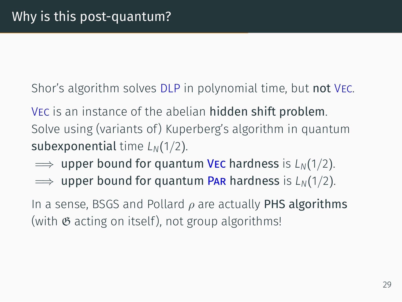Shor's algorithm solves DLP in polynomial time, but not VEC.

Vec is an instance of the abelian hidden shift problem. Solve using (variants of) Kuperberg's algorithm in quantum subexponential time *LN*(1*/*2).

- =*⇒* upper bound for quantum Vec hardness is *LN*(1*/*2).
- $\implies$  upper bound for quantum PAR hardness is *L<sub>N</sub>*(1/2).

In a sense, BSGS and Pollard *ρ* are actually PHS algorithms (with  $\mathfrak G$  acting on itself), not group algorithms!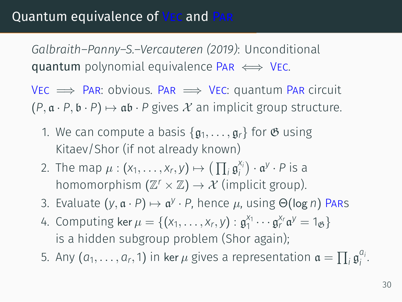### Quantum equivalence of Vec and Par

*Galbraith–Panny–S.–Vercauteren (2019)*: Unconditional quantum polynomial equivalence Par *⇐⇒* Vec.

Vec =*⇒* Par: obvious. Par =*⇒* Vec: quantum Par circuit  $(P, \mathfrak{a} \cdot P, \mathfrak{b} \cdot P) \mapsto \mathfrak{a} \mathfrak{b} \cdot P$  gives X an implicit group structure.

- 1. We can compute a basis  $\{g_1, \ldots, g_r\}$  for  $\mathfrak G$  using Kitaev/Shor (if not already known)
- 2. The map  $\mu : (x_1, \ldots, x_r, y) \mapsto (\prod_i \mathfrak{g}_i^{x_i})$ *i* ) *·* a *y · P* is a homomorphism  $(\mathbb{Z}^r \times \mathbb{Z}) \to \mathcal{X}$  (implicit group).
- 3. Evaluate  $(y, \mathfrak{a} \cdot P) \mapsto \mathfrak{a}^{\mathcal{Y}} \cdot P$ , hence  $\mu$ , using  $\Theta(\log n)$  Pars
- 4. Computing ker  $\mu = \{(x_1, ..., x_r, y) : \mathfrak{g}_1^{x_1} \cdots \mathfrak{g}_r^{x_r} \mathfrak{a}^y = 1_{\mathfrak{G}}\}$ is a hidden subgroup problem (Shor again);
- 5. Any  $(a_1,\ldots,a_r,1)$  in ker $\mu$  gives a representation  $\mathfrak{a}=\prod_i \mathfrak{g}_i^{a_i}$ *i* .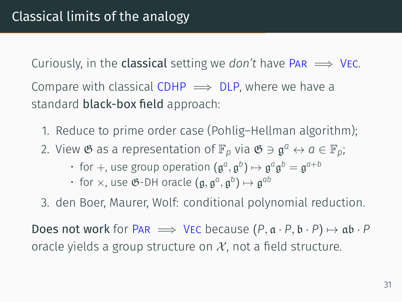Curiously, in the **classical** setting we *don't* have  $PAR \implies$  VEC.

Compare with classical CDHP  $\implies$  DLP, where we have a standard black-box field approach:

- 1. Reduce to prime order case (Pohlig–Hellman algorithm);
- 2. View  $\mathfrak{G}$  as a representation of  $\mathbb{F}_p$  via  $\mathfrak{G} \ni \mathfrak{g}^a \leftrightarrow a \in \mathbb{F}_p;$ 
	- $\cdot$  for  $+$ , use group operation  $(\mathfrak{g}^{a},\mathfrak{g}^{b}) \mapsto \mathfrak{g}^{a} \mathfrak{g}^{b} = \mathfrak{g}^{a+b}$
	- $\cdot$  for  $\times$ , use  $\mathfrak{G}\text{-}\mathsf{DH}$  oracle  $(\mathfrak{g}, \mathfrak{g}^a, \mathfrak{g}^b) \mapsto \mathfrak{g}^{ab}$
- 3. den Boer, Maurer, Wolf: conditional polynomial reduction.

Does not work for Par  $\implies$  VEC because  $(P, a \cdot P, b \cdot P) \mapsto ab \cdot P$ oracle yields a group structure on  $X$ , not a field structure.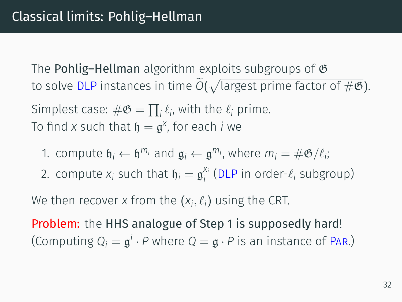The **Pohlig–Hellman** algorithm exploits subgroups of  $\mathfrak{G}$ to solve DLP instances in time  $\widetilde{O}(\sqrt{\text{largest prime factor of }\#\mathfrak{G}}).$ 

Simplest case:  $\#\mathfrak{G} = \prod_i \ell_i$ , with the  $\ell_i$  prime. To find x such that  $\mathfrak{h} = \mathfrak{g}^{\mathsf{x}}$ , for each *i* we

- 1. compute  $\mathfrak{h}_i \leftarrow \mathfrak{h}^{m_i}$  and  $\mathfrak{g}_i \leftarrow \mathfrak{g}^{m_i}$ , where  $m_i = \#\mathfrak{G}/\ell_i$ ;
- 2. compute  $x_i$  such that  $\mathfrak{h}_i = \mathfrak{g}_i^{x_i}$ *i* (DLP in order-*ℓ<sup>i</sup>* subgroup)

We then recover *x* from the  $(x_i, \ell_i)$  using the CRT.

Problem: the HHS analogue of Step 1 is supposedly hard! (Computing  $Q_i = \mathfrak{g}^i \cdot P$  where  $Q = \mathfrak{g} \cdot P$  is an instance of PAR.)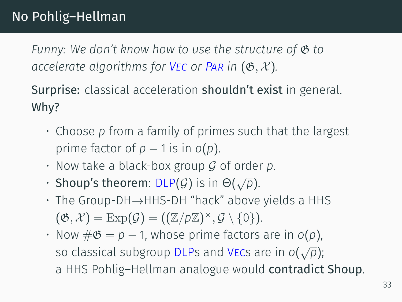*Funny: We don't know how to use the structure of*  $\mathfrak{G}$  to *accelerate algorithms for VEC or PAR in*  $(\mathfrak{G}, \mathcal{X})$ *.* 

Surprise: classical acceleration shouldn't exist in general. Why?

- Choose *p* from a family of primes such that the largest prime factor of  $p - 1$  is in  $o(p)$ .
- Now take a black-box group *G* of order *p*.
- Shoup's theorem:  $DLP(G)$  is in  $\Theta(\sqrt{p})$ .
- The Group-DH*→*HHS-DH "hack" above yields a HHS  $(\mathfrak{G}, \mathcal{X}) = \mathrm{Exp}(\mathcal{G}) = ((\mathbb{Z}/p\mathbb{Z})^\times, \mathcal{G} \setminus \{0\}).$
- Now  $\#\mathfrak{G} = p 1$ , whose prime factors are in  $o(p)$ . so classical subgroup DLPs and Vecs are in *o*( *√ p*); a HHS Pohlig–Hellman analogue would contradict Shoup.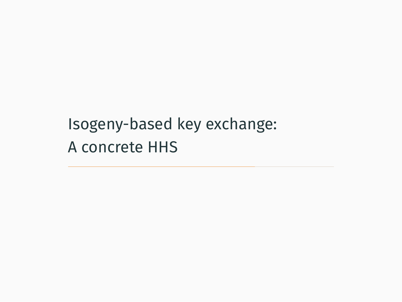Isogeny-based key exchange: A concrete HHS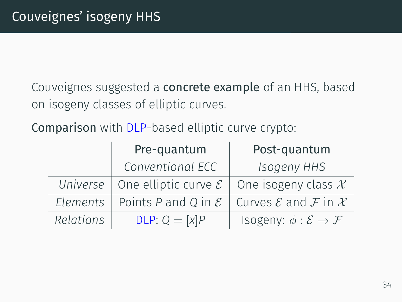Couveignes suggested a concrete example of an HHS, based on isogeny classes of elliptic curves.

Comparison with DLP-based elliptic curve crypto:

|           | Pre-quantum                                | Post-quantum                                   |  |
|-----------|--------------------------------------------|------------------------------------------------|--|
|           | Conventional ECC                           | <b>Isogeny HHS</b>                             |  |
|           | Universe   One elliptic curve $\mathcal E$ | One isogeny class $\mathcal X$                 |  |
| Elements  | Points P and Q in $\mathcal E$             | Curves ${\cal E}$ and ${\cal F}$ in ${\cal X}$ |  |
| Relations | $DLP: Q = [x]P$                            | Isogeny: $\phi : \mathcal{E} \to \mathcal{F}$  |  |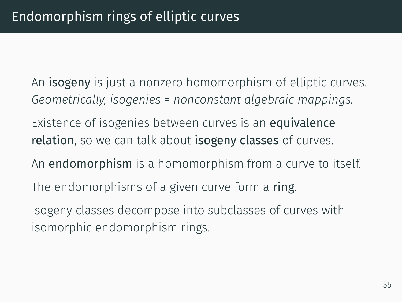- An **isogeny** is just a nonzero homomorphism of elliptic curves. *Geometrically, isogenies = nonconstant algebraic mappings.*
- Existence of isogenies between curves is an equivalence relation, so we can talk about isogeny classes of curves.
- An endomorphism is a homomorphism from a curve to itself.
- The endomorphisms of a given curve form a ring.
- Isogeny classes decompose into subclasses of curves with isomorphic endomorphism rings.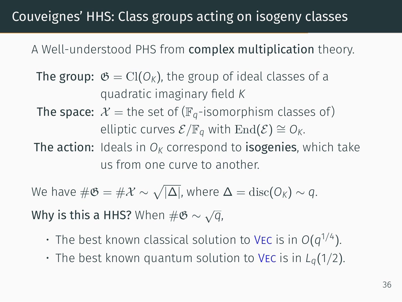## Couveignes' HHS: Class groups acting on isogeny classes

#### A Well-understood PHS from complex multiplication theory.

- The group:  $\mathfrak{G} = \text{Cl}(O_K)$ , the group of ideal classes of a quadratic imaginary field *K*
- The space:  $\mathcal{X}$  = the set of ( $\mathbb{F}_q$ -isomorphism classes of)  $\mathcal{E}/\mathbb{F}_q$  with End( $\mathcal{E}$ )  $\cong$  *O*<sup>*K*</sup>.
- The action: Ideals in  $O<sub>K</sub>$  correspond to **isogenies**, which take us from one curve to another.

 $\mathsf{W\!e}$  have  $\#\mathfrak{G} = \#\mathcal{X} \sim \sqrt{|\Delta|}$ , where  $\Delta = \mathrm{disc}(\mathsf{O}_\mathsf{K}) \sim q.$ 

Why is this a HHS? When #G *∼ √ q*,

- $\cdot$  The best known classical solution to VEC is in  $O(q^{1/4})$ .
- $\cdot$  The best known quantum solution to VEC is in  $L_q(1/2)$ .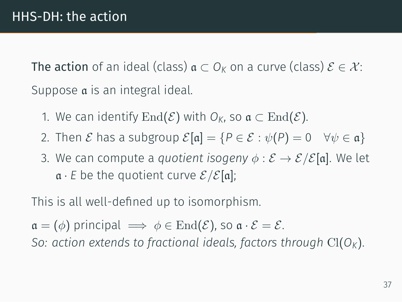The action of an ideal (class)  $a \subset O_K$  on a curve (class)  $\mathcal{E} \in \mathcal{X}$ : Suppose a is an integral ideal.

- 1. We can identify  $\text{End}(\mathcal{E})$  with  $O_k$ , so  $\mathfrak{a} \subset \text{End}(\mathcal{E})$ .
- 2. Then *E* has a subgroup  $\mathcal{E}[\mathfrak{a}] = \{P \in \mathcal{E} : \psi(P) = 0 \quad \forall \psi \in \mathfrak{a}\}\$
- 3. We can compute a *quotient isogeny*  $\phi : \mathcal{E} \to \mathcal{E}/\mathcal{E}[\mathfrak{a}]$ . We let  $\mathfrak{a} \cdot \mathfrak{E}$  be the quotient curve  $\mathcal{E}/\mathcal{E}[\mathfrak{a}]$ ;

This is all well-defined up to isomorphism.

 $\mathfrak{a} = (\phi)$  principal  $\implies \phi \in \text{End}(\mathcal{E})$ , so  $\mathfrak{a} \cdot \mathcal{E} = \mathcal{E}$ . *So: action extends to fractional ideals, factors through* Cl(*OK*).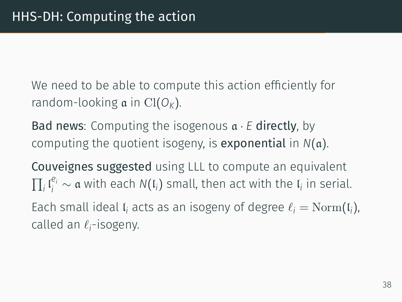We need to be able to compute this action efficiently for random-looking a in Cl(*OK*).

Bad news: Computing the isogenous a *· E* directly, by computing the quotient isogeny, is exponential in *N*(a).

Couveignes suggested using LLL to compute an equivalent  $\prod_i \mathfrak{l}_i^{e_i} \sim$  α with each *N*( $\mathfrak{l}_i$ ) small, then act with the  $\mathfrak{l}_i$  in serial. Each small ideal  $\mathfrak{l}_i$  acts as an isogeny of degree  $\ell_i = \mathrm{Norm}(\mathfrak{l}_i)$ , called an *ℓ<sup>i</sup>* -isogeny.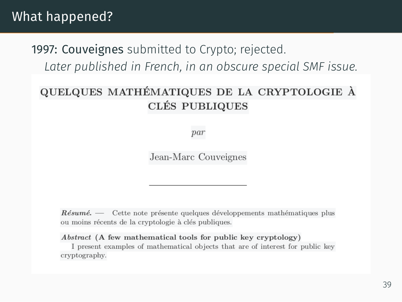#### What happened?

#### 1997: Couveignes submitted to Crypto; rejected. *Later published in French, in an obscure special SMF issue.*

#### QUELQUES MATHÉMATIQUES DE LA CRYPTOLOGIE À **CLÉS PUBLIQUES**

par

Jean-Marc Couveignes

Résumé. — Cette note présente quelques développements mathématiques plus ou moins récents de la cryptologie à clés publiques.

#### Abstract (A few mathematical tools for public key cryptology)

I present examples of mathematical objects that are of interest for public key cryptography.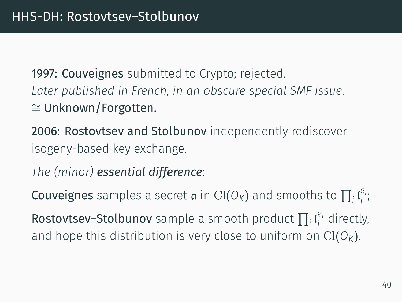1997: Couveignes submitted to Crypto; rejected. *Later published in French, in an obscure special SMF issue. ∼*= Unknown/Forgotten.

2006: Rostovtsev and Stolbunov independently rediscover isogeny-based key exchange.

*The (minor) essential difference*:

**Couveignes** samples a secret  $\boldsymbol{\mathfrak{a}}$  in Cl(O<sub>K</sub>) and smooths to  $\prod_i \mathfrak{l}_i^{e_i}$ *i* ;

Rostovtsev–Stolbunov sample a smooth product  $\prod_i \mathfrak{l}_i^{e_i}$  $i$ <sup>e<sub>i</sub></sup> directly, and hope this distribution is very close to uniform on  $Cl(O_K)$ .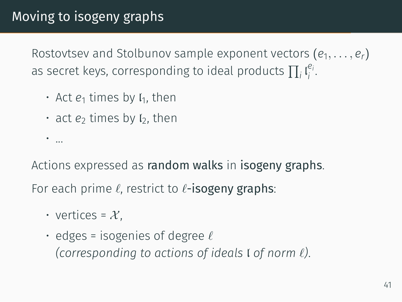Rostovtsev and Stolbunov sample exponent vectors (*e*1*, . . . , er*) as secret keys, corresponding to ideal products  $\prod_i \mathfrak{l}_i^{e_i}$  $\frac{e_i}{i}$ .

- $\cdot$  Act  $e_1$  times by  $I_1$ , then
- $\cdot$  act  $e_2$  times by  $I_2$ , then

Actions expressed as random walks in isogeny graphs.

For each prime *ℓ*, restrict to *ℓ*-isogeny graphs:

• vertices =  $\mathcal{X}$ .

• ...

• edges = isogenies of degree *ℓ (corresponding to actions of ideals* l *of norm ℓ)*.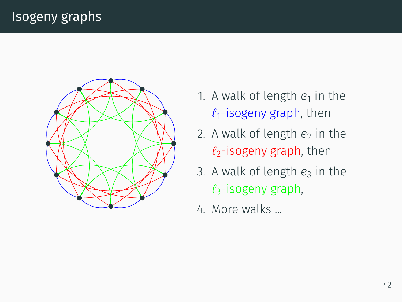

- 1. A walk of length  $e_1$  in the *ℓ*1-isogeny graph, then
- 2. A walk of length  $e_2$  in the *ℓ*2-isogeny graph, then
- 3. A walk of length  $e_3$  in the *ℓ*3-isogeny graph,
- 4. More walks ...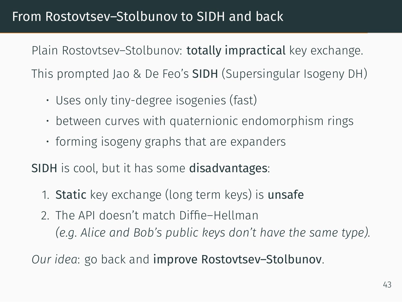#### From Rostovtsev–Stolbunov to SIDH and back

Plain Rostovtsev–Stolbunov: totally impractical key exchange. This prompted Jao & De Feo's SIDH (Supersingular Isogeny DH)

- Uses only tiny-degree isogenies (fast)
- between curves with quaternionic endomorphism rings
- forming isogeny graphs that are expanders

SIDH is cool, but it has some disadvantages:

- 1. Static key exchange (long term keys) is unsafe
- 2. The API doesn't match Diffie–Hellman *(e.g. Alice and Bob's public keys don't have the same type).*

*Our idea*: go back and improve Rostovtsev–Stolbunov.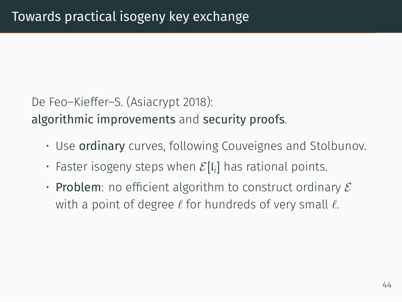De Feo–Kieffer–S. (Asiacrypt 2018): algorithmic improvements and security proofs.

- Use **ordinary** curves, following Couveignes and Stolbunov.
- $\cdot$  Faster isogeny steps when  $\mathcal{E}[\mathfrak{l}_i]$  has rational points.
- Problem: no efficient algorithm to construct ordinary *E* with a point of degree *ℓ* for hundreds of very small *ℓ*.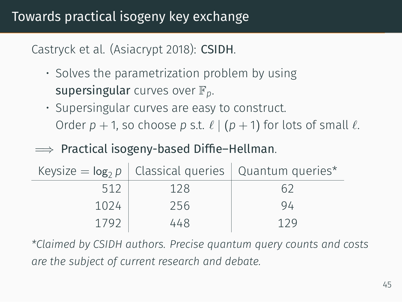Castryck et al. (Asiacrypt 2018): CSIDH.

- Solves the parametrization problem by using supersingular curves over F*p*.
- Supersingular curves are easy to construct. Order  $p + 1$ , so choose  $p$  s.t.  $\ell$  | ( $p + 1$ ) for lots of small  $\ell$ .
- =*⇒* Practical isogeny-based Diffie–Hellman.

|      |     | Keysize = $log_2 p$   Classical queries   Quantum queries* |
|------|-----|------------------------------------------------------------|
| 512  | 128 |                                                            |
| 1024 | 256 | 94                                                         |
| 1792 | 448 | 129                                                        |

*\*Claimed by CSIDH authors. Precise quantum query counts and costs are the subject of current research and debate.*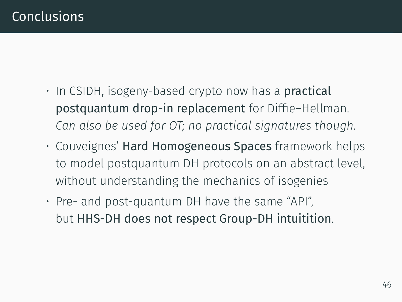- In CSIDH, isogeny-based crypto now has a **practical** postquantum drop-in replacement for Diffie–Hellman. *Can also be used for OT; no practical signatures though.*
- Couveignes' Hard Homogeneous Spaces framework helps to model postquantum DH protocols on an abstract level, without understanding the mechanics of isogenies
- Pre- and post-quantum DH have the same "API", but HHS-DH does not respect Group-DH intuitition.